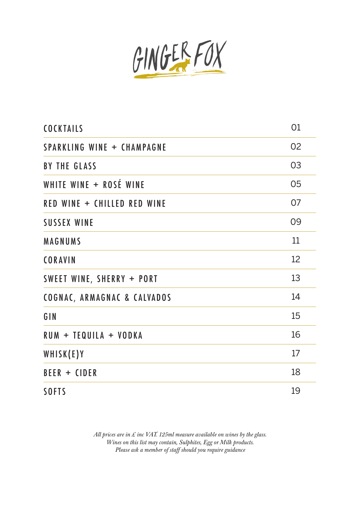

| <b>COCKTAILS</b>                       | 01 |
|----------------------------------------|----|
| <b>SPARKLING WINE + CHAMPAGNE</b>      | 02 |
| <b>BY THE GLASS</b>                    | 03 |
| WHITE WINE + ROSÉ WINE                 | 05 |
| RED WINE + CHILLED RED WINE            | 07 |
| <b>SUSSEX WINE</b>                     | 09 |
| MAGNUMS                                | 11 |
| <b>CORAVIN</b>                         | 12 |
| SWEET WINE, SHERRY + PORT              | 13 |
| <b>COGNAC, ARMAGNAC &amp; CALVADOS</b> | 14 |
| GIN                                    | 15 |
| RUM + TEQUILA + VODKA                  | 16 |
| WHISK(E)Y                              | 17 |
| BEER + CIDER                           | 18 |
| <b>SOFTS</b>                           | 19 |

*All prices are in £ inc VAT. 125ml measure available on wines by the glass. Wines on this list may contain, Sulphites, Egg or Milk products. Please ask a member of staff should you require guidance*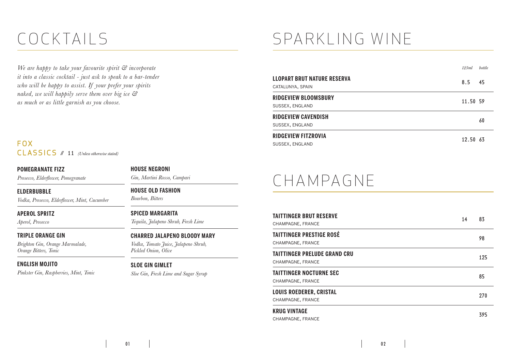### COCKTAILS

*We are happy to take your favourite spirit & incorporate it into a classic cocktail - just ask to speak to a bar-tender who will be happy to assist. If your prefer your spirits naked, we will happily serve them over big ice & as much or as little garnish as you choose.*

F O X CLASSICS // 11 *(Unless otherwise stated)*

**POMEGRANATE FIZZ**

*Prosecco, Elderflower, Pomegranate*

**ELDERBUBBLE**

*Vodka, Prosecco, Elderflower, Mint, Cucumber*

#### **APEROL SPRITZ**

*Aperol, Prosecco*

**TRIPLE ORANGE GIN** 

*Brighton Gin, Orange Marmalade, Orange Bitters, Tonic*

#### **ENGLISH MOJITO**

*Pinkster Gin, Raspberries, Mint, Tonic*

#### **HOUSE NEGRONI**

*Gin, Martini Rosso, Campari*

#### **HOUSE OLD FASHION**

*Bourbon, Bitters* 

#### **SPICED MARGARITA**

*Tequila, Jalapeno Shrub, Fresh Lime* 

#### **CHARRED JALAPENO BLOODY MARY**

*Vodka, Tomato Juice, Jalapeno Shrub, Pickled Onion, Olive*

#### **SLOE GIN GIMLET**

*Sloe Gin, Fresh Lime and Sugar Syrup* 

# SPARKLING WINE

|                                                        | 125ml    | <b>bottle</b> |
|--------------------------------------------------------|----------|---------------|
| <b>LLOPART BRUT NATURE RESERVA</b><br>CATALUNYA, SPAIN | 8.5      | -45           |
| <b>RIDGEVIEW BLOOMSBURY</b><br>SUSSEX, ENGLAND         | 11.50 59 |               |
| <b>RIDGEVIEW CAVENDISH</b><br>SUSSEX, ENGLAND          |          | 60            |
| <b>RIDGEVIEW FITZROVIA</b><br>SUSSEX, ENGLAND          | 12.50 63 |               |

### CHAMPAGNE

| <b>TAITTINGER BRUT RESERVE</b><br>CHAMPAGNE, FRANCE      | 14 | 83  |
|----------------------------------------------------------|----|-----|
| <b>TAITTINGER PRESTIGE ROSÉ</b><br>CHAMPAGNE, FRANCE     |    | 98  |
| <b>TAITTINGER PRELUDE GRAND CRU</b><br>CHAMPAGNE, FRANCE |    | 125 |
| <b>TAITTINGER NOCTURNE SEC</b><br>CHAMPAGNE, FRANCE      |    | 85  |
| <b>LOUIS ROEDERER, CRISTAL</b><br>CHAMPAGNE, FRANCE      |    | 270 |
| <b>KRUG VINTAGE</b><br>CHAMPAGNE, FRANCE                 |    | 395 |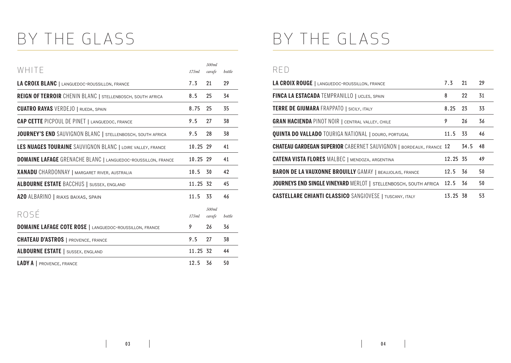## BY THE GLASS

| WHITE                                                               | 175ml    | 500ml<br>carafe | bottle |
|---------------------------------------------------------------------|----------|-----------------|--------|
| LA CROIX BLANC   LANGUEDOC-ROUSSILLON, FRANCE                       | 7.3      | 21              | 29     |
| <b>REIGN OF TERROIR</b> CHENIN BLANC   STELLENBOSCH, SOUTH AFRICA   | 8.5      | 25              | 34     |
| <b>CUATRO RAYAS VERDEJO   RUEDA, SPAIN</b>                          | 8.75     | 25              | 35     |
| <b>CAP CETTE PICPOUL DE PINET   LANGUEDOC, FRANCE</b>               | 9.5      | 27              | 38     |
| JOURNEY'S END SAUVIGNON BLANC   STELLENBOSCH, SOUTH AFRICA          | 9.5      | 28              | 38     |
| LES NUAGES TOURAINE SAUVIGNON BLANC   LOIRE VALLEY, FRANCE          | 10.25 29 |                 | 41     |
| <b>DOMAINE LAFAGE</b> GRENACHE BLANC   LANGUEDOC-ROUSSILLON, FRANCE | 10.25 29 |                 | 41     |
| <b>XANADU</b> CHARDONNAY   MARGARET RIVER, AUSTRALIA                | 10.5     | 30              | 42     |
| <b>ALBOURNE ESTATE BACCHUS   SUSSEX, ENGLAND</b>                    | 11.25 32 |                 | 45     |
| A20 ALBARINO   RIAXS BAIXAS, SPAIN                                  | 11.5     | 33              | 46     |
| ROSÉ                                                                | 175ml    | 500ml<br>carafe | bottle |
| <b>DOMAINE LAFAGE COTE ROSE   LANGUEDOC-ROUSSILLON, FRANCE</b>      | 9        | 26              | 36     |
| <b>CHATEAU D'ASTROS</b>   PROVENCE, FRANCE                          | 9.5      | 27              | 38     |
| <b>ALBOURNE ESTATE</b>   SUSSEX, ENGLAND                            | 11.25 32 |                 | 44     |
| <b>LADY A</b>   PROVENCE, FRANCE                                    | 12.5     | 36              | 50     |

### BY THE GLASS

#### RED

| LA CROIX ROUGE   LANGUEDOC-ROUSSILLON, FRANCE                             | 7.3 21   |      | 29 |
|---------------------------------------------------------------------------|----------|------|----|
| <b>FINCA LA ESTACADA TEMPRANILLO   UCLES, SPAIN</b>                       | 8        | 22   | 31 |
| <b>TERRE DE GIUMARA FRAPPATO   SICILY, ITALY</b>                          | 8.25 23  |      | 33 |
| <b>GRAN HACIENDA PINOT NOIR   CENTRAL VALLEY, CHILE</b>                   | 9        | 26   | 36 |
| <b>QUINTA DO VALLADO</b> TOURIGA NATIONAL   DOURO, PORTUGAL               | 11.5     | 33   | 46 |
| <b>CHATEAU GARDEGAN SUPERIOR</b> CABERNET SAUVIGNON   BORDEAUX, FRANCE 12 |          | 34.5 | 48 |
| <b>CATENA VISTA FLORES MALBEC   MENDOZA, ARGENTINA</b>                    | 12.25 35 |      | 49 |
| <b>BARON DE LA VAUXONNE BROUILLY GAMAY   BEAUJOLAIS, FRANCE</b>           | 12.5 36  |      | 50 |
| JOURNEYS END SINGLE VINEYARD MERLOT   STELLENBOSCH, SOUTH AFRICA          | 12.5     | 36   | 50 |
| <b>CASTELLARE CHIANTI CLASSICO</b> SANGIOVESE   TUSCANY, ITALY            | 13.25 38 |      | 53 |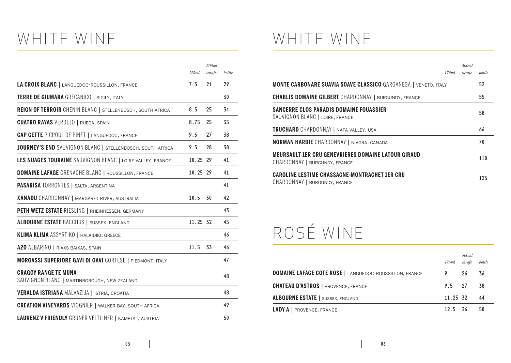# WHITE WINE

|                                                                             | 175ml    | 500ml<br>carafe | bottle |
|-----------------------------------------------------------------------------|----------|-----------------|--------|
| LA CROIX BLANC   LANGUEDOC-ROUSSILLON, FRANCE                               | 7.3      | 21              | 29     |
| <b>TERRE DE GIUMARA GRECANICO   SICILY, ITALY</b>                           |          |                 | 30     |
| REIGN OF TERROIR CHENIN BLANC   STELLENBOSCH, SOUTH AFRICA                  | 8.5      | 25              | 34     |
| <b>CUATRO RAYAS VERDEJO   RUEDA, SPAIN</b>                                  | 8.75     | 25              | 35     |
| <b>CAP CETTE PICPOUL DE PINET   LANGUEDOC, FRANCE</b>                       | 9.5      | 27              | 38     |
| JOURNEY'S END SAUVIGNON BLANC   STELLENBOSCH, SOUTH AFRICA                  | 9.5      | 28              | 38     |
| LES NUAGES TOURAINE SAUVIGNON BLANC   LOIRE VALLEY, FRANCE                  | 10.25 29 |                 | 41     |
| <b>DOMAINE LAFAGE</b> GRENACHE BLANC   ROUSSILLON, FRANCE                   | 10.25 29 |                 | 41     |
| PASARISA TORRONTES   SALTA, ARGENTINA                                       |          |                 | 41     |
| <b>XANADU</b> CHARDONNAY   MARGARET RIVER, AUSTRALIA                        | 10.5     | 30              | 42     |
| PETH WETZ ESTATE RIESLING   RHEINHESSEN, GERMANY                            |          |                 | 43     |
| <b>ALBOURNE ESTATE BACCHUS   SUSSEX, ENGLAND</b>                            | 11.25 32 |                 | 45     |
| KLIMA KLIMA ASSYRTIKO   HALKIDIKI, GREECE                                   |          |                 | 46     |
| A20 ALBARINO   RIAXS BAIXAS, SPAIN                                          | 11.5     | 33              | 46     |
| <b>MORGASSI SUPERIORE GAVI DI GAVI CORTESE   PIEDMONT, ITALY</b>            |          |                 | 47     |
| <b>CRAGGY RANGE TE MUNA</b><br>SAUVIGNON BLANC   MARTINBOROUGH, NEW ZEALAND |          |                 | 48     |
| VERALDA ISTRIANA MALVAZIJA   ISTRIA, CROATIA                                |          |                 | 48     |
| <b>CREATION VINEYARDS</b> VIOGNIER   WALKER BAY, SOUTH AFRICA               |          |                 | 49     |
| LAURENZ V FRIENDLY GRUNER VELTLINER   KAMPTAL, AUSTRIA                      |          |                 | 50     |

### WHITE WINE

|                                                                                       | 175ml | 500ml<br>carafe | bottle |
|---------------------------------------------------------------------------------------|-------|-----------------|--------|
| <b>MONTE CARBONARE SUAVIA SOAVE CLASSICO GARGANEGA   VENETO, ITALY</b>                |       |                 | 52     |
| <b>CHABLIS DOMAINE GILBERT</b> CHARDONNAY   BURGUNDY, FRANCE                          |       |                 | 55     |
| SANCERRE CLOS PARADIS DOMAINE FOUASSIER<br>SAUVIGNON BLANC   LOIRE, FRANCE            |       |                 | 58     |
| <b>TRUCHARD</b> CHARDONNAY   NAPA VALLEY, USA                                         |       |                 | 66     |
| <b>NORMAN HARDIE</b> CHARDONNAY   NIAGRA, CANADA                                      |       |                 | 70     |
| MEURSAULT 1ER CRU GENEVRIERES DOMAINE LATOUR GIRAUD<br>CHARDONNAY   BURGUNDY, FRANCE  |       |                 | 110    |
| <b>CAROLINE LESTIME CHASSAGNE-MONTRACHET 1ER CRU</b><br>CHARDONNAY   BURGUNDY, FRANCE |       |                 | 125    |

# ROSÉ WINE

|                                                                | 175ml    | 500ml<br>carafe | bottle |
|----------------------------------------------------------------|----------|-----------------|--------|
| <b>DOMAINE LAFAGE COTE ROSE   LANGUEDOC-ROUSSILLON, FRANCE</b> |          | 26              | -36    |
| <b>CHATEAU D'ASTROS</b>   PROVENCE, FRANCE                     | 9.5 27   |                 | - 38   |
| <b>ALBOURNE ESTATE</b>   SUSSEX, ENGLAND                       | 11.25 32 |                 | -44    |
| <b>LADY A</b>   PROVENCE, FRANCE                               | 12.5 36  |                 | 50     |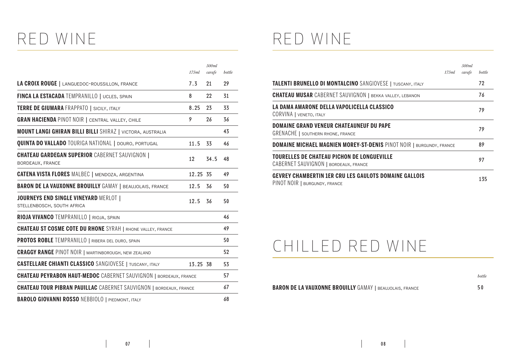### RED WINE

|                                                                            | 175ml    | 500ml<br>carafe | bottle |
|----------------------------------------------------------------------------|----------|-----------------|--------|
| LA CROIX ROUGE   LANGUEDOC-ROUSSILLON, FRANCE                              | 7.3      | 21              | 29     |
| FINCA LA ESTACADA TEMPRANILLO   UCLES, SPAIN                               | 8        | 22              | 31     |
| <b>TERRE DE GIUMARA FRAPPATO   SICILY, ITALY</b>                           | 8.25     | 23              | 33     |
| <b>GRAN HACIENDA PINOT NOIR   CENTRAL VALLEY, CHILE</b>                    | 9        | 26              | 36     |
| <b>MOUNT LANGI GHIRAN BILLI BILLI</b> SHIRAZ   VICTORA, AUSTRALIA          |          |                 | 43     |
| <b>QUINTA DO VALLADO</b> TOURIGA NATIONAL   DOURO, PORTUGAL                | 11.5     | 33              | 46     |
| <b>CHATEAU GARDEGAN SUPERIOR CABERNET SAUVIGNON  </b><br>BORDEAUX, FRANCE  | 12       | 34.5            | 48     |
| <b>CATENA VISTA FLORES MALBEC   MENDOZA, ARGENTINA</b>                     | 12.25 35 |                 | 49     |
| <b>BARON DE LA VAUXONNE BROUILLY GAMAY   BEAUJOLAIS, FRANCE</b>            | 12.5     | 36              | 50     |
| <b>JOURNEYS END SINGLE VINEYARD MERLOT  </b><br>STELLENBOSCH, SOUTH AFRICA | 12.5     | 36              | 50     |
| RIOJA VIVANCO TEMPRANILLO   RIOJA, SPAIN                                   |          |                 | 46     |
| <b>CHATEAU ST COSME COTE DU RHONE</b> SYRAH   RHONE VALLEY, FRANCE         |          |                 | 49     |
| <b>PROTOS ROBLE</b> TEMPRANILLO   RIBERA DEL DURO, SPAIN                   |          |                 | 50     |
| <b>CRAGGY RANGE PINOT NOIR   MARTINBOROUGH, NEW ZEALAND</b>                |          |                 | 52     |
| <b>CASTELLARE CHIANTI CLASSICO</b> SANGIOVESE   TUSCANY, ITALY             | 13.25 38 |                 | 53     |
| <b>CHATEAU PEYRABON HAUT-MEDOC</b> CABERNET SAUVIGNON   BORDEAUX, FRANCE   |          |                 | 57     |
| <b>CHATEAU TOUR PIBRAN PAUILLAC</b> CABERNET SAUVIGNON   BORDEAUX, FRANCE  |          |                 | 67     |
| <b>BAROLO GIOVANNI ROSSO NEBBIOLO   PIEDMONT, ITALY</b>                    |          |                 | 68     |

### RED WINE

| 175ml                                                                                         | 500ml<br>carafe | bottle |
|-----------------------------------------------------------------------------------------------|-----------------|--------|
| TALENTI BRUNELLO DI MONTALCINO SANGIOVESE   TUSCANY, ITALY                                    |                 | 72     |
| <b>CHATEAU MUSAR</b> CABERNET SAUVIGNON   BEKKA VALLEY, LEBANON                               |                 | 76     |
| LA DAMA AMARONE DELLA VAPOLICELLA CLASSICO<br><b>CORVINA</b>   VENETO, ITALY                  |                 | 79     |
| <b>DOMAINE GRAND VENEUR CHATEAUNEUF DU PAPE</b><br><b>GRENACHE</b>   SOUTHERN RHONE, FRANCE   |                 | 79     |
| <b>DOMAINE MICHAEL MAGNIEN MOREY-ST-DENIS PINOT NOIR   BURGUNDY, FRANCE</b>                   |                 | 89     |
| <b>TOURELLES DE CHATEAU PICHON DE LONGUEVILLE</b><br>CABERNET SAUVIGNON   BORDEAUX, FRANCE    |                 | 97     |
| <b>GEVREY CHAMBERTIN 1ER CRU LES GAULOTS DOMAINE GALLOIS</b><br>PINOT NOIR   BURGUNDY, FRANCE |                 | 135    |

#### CHILLED RED WINE

**BARON DE LA VAUXONNE BROUILLY** GAMAY | BEAUJOLAIS, FRANCE 50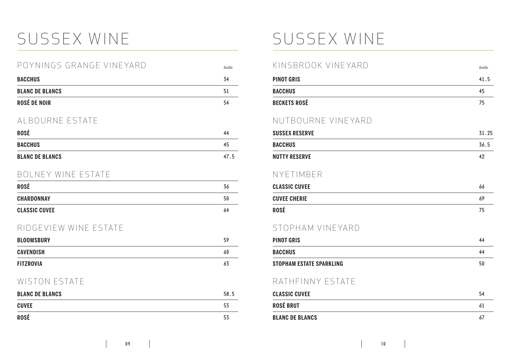## SUSSEX WINE SUSSEX WINE

| <b>ROSÉ</b>              | 44     |
|--------------------------|--------|
| AI BOURNE ESTATE         |        |
| ROSÉ DE NOIR             | 54     |
| <b>BLANC DE BLANCS</b>   | 51     |
| <b>BACCHUS</b>           | 34     |
| POYNINGS GRANGE VINEYARD | bottle |

| <b>BACCHUS</b>         | ี 4๖ |
|------------------------|------|
| <b>BLANC DE BLANCS</b> | 47.5 |

#### BOLNEY WINE ESTATE

| <b>ROSÉ</b>          | 36 |
|----------------------|----|
| <b>CHARDONNAY</b>    | 50 |
| <b>CLASSIC CUVEE</b> | 64 |

#### RIDGEVIEW WINE ESTATE

| <b>BLOOMSBURY</b> | 59 |
|-------------------|----|
| <b>CAVENDISH</b>  | 60 |
| <b>FITZROVIA</b>  | 63 |

#### WISTON ESTATE

| <b>BLANC DE BLANCS</b> | 58.5 |
|------------------------|------|
| <b>CUVEE</b>           | 53   |
| <b>ROSÉ</b>            | 53   |

| KINSBROOK VINEYARD              | bottle |
|---------------------------------|--------|
| <b>PINOT GRIS</b>               | 41.5   |
| <b>BACCHUS</b>                  | 45     |
| <b>BECKETS ROSÉ</b>             | 75     |
| NUTBOURNE VINEYARD              |        |
| <b>SUSSEX RESERVE</b>           | 31.25  |
| <b>BACCHUS</b>                  | 36.5   |
| <b>NUTTY RESERVE</b>            | 42     |
| NYFTIMBER                       |        |
| <b>CLASSIC CUVEE</b>            | 66     |
| <b>CUVEE CHERIE</b>             | 69     |
| ROSÉ                            | 75     |
| STOPHAM VINEYARD                |        |
| <b>PINOT GRIS</b>               | 44     |
| <b>BACCHUS</b>                  | 44     |
| <b>STOPHAM ESTATE SPARKLING</b> | 50     |
| RATHFINNY ESTATE                |        |
| <b>CLASSIC CUVEE</b>            | 54     |
| <b>ROSÉ BRUT</b>                | 61     |
| <b>BLANC DE BLANCS</b>          | 67     |
|                                 |        |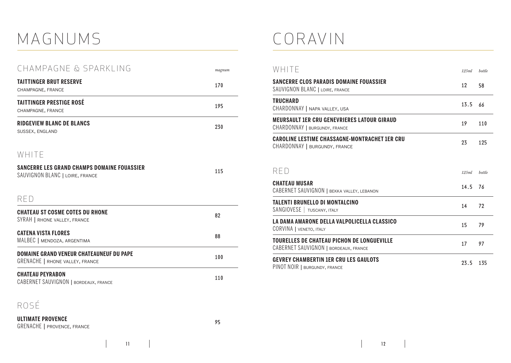### MAGNUMS

| CHAMPAGNE & SPARKLING                                                                     | magnum |
|-------------------------------------------------------------------------------------------|--------|
| <b>TAITTINGER BRUT RESERVE</b><br>CHAMPAGNE, FRANCE                                       | 170    |
| <b>TAITTINGER PRESTIGE ROSÉ</b><br>CHAMPAGNE, FRANCE                                      | 195    |
| <b>RIDGEVIEW BLANC DE BLANCS</b><br>SUSSEX, ENGLAND                                       | 230    |
| WHITE                                                                                     |        |
| <b>SANCERRE LES GRAND CHAMPS DOMAINE FOUASSIER</b><br>SAUVIGNON BLANC   LOIRE, FRANCE     | 115    |
| RFD                                                                                       |        |
| <b>CHATEAU ST COSME COTES DU RHONE</b><br>SYRAH   RHONE VALLEY, FRANCE                    | 82     |
| <b>CATENA VISTA FLORES</b><br>MALBEC   MENDOZA, ARGENTIMA                                 | 88     |
| <b>DOMAINE GRAND VENEUR CHATEAUNEUF DU PAPE</b><br><b>GRENACHE   RHONE VALLEY, FRANCE</b> | 100    |
| <b>CHATEAU PEYRABON</b><br>CABERNET SAUVIGNON   BORDEAUX, FRANCE                          | 110    |

#### ROSÉ

#### CORAVIN

| WHITE                                                                                 | 125ml | bottle |
|---------------------------------------------------------------------------------------|-------|--------|
| <b>SANCERRE CLOS PARADIS DOMAINE FOUASSIER</b><br>SAUVIGNON BLANC   LOIRE, FRANCE     | 12    | 58     |
| <b>TRUCHARD</b><br>CHARDONNAY   NAPA VALLEY, USA                                      | 13.5  | 66     |
| <b>MEURSAULT 1ER CRU GENEVRIERES LATOUR GIRAUD</b><br>CHARDONNAY   BURGUNDY, FRANCE   | 19    | 110    |
| <b>CAROLINE LESTIME CHASSAGNE-MONTRACHET 1ER CRU</b><br>CHARDONNAY   BURGUNDY, FRANCE | 23    | 125    |
| RFD                                                                                   | 125ml | bottle |
| <b>CHATEAU MUSAR</b><br>CABERNET SAUVIGNON   BEKKA VALLEY, LEBANON                    | 14.5  | 76     |
| <b>TALENTI BRUNELLO DI MONTALCINO</b><br>SANGIOVESE   TUSCANY, ITALY                  | 14    | 72     |
| LA DAMA AMARONE DELLA VALPOLICELLA CLASSICO<br>CORVINA   VENETO, ITALY                | 15    | 79     |
| <b>TOURELLES DE CHATEAU PICHON DE LONGUEVILLE</b>                                     |       |        |
| CABERNET SAUVIGNON   BORDEAUX, FRANCE                                                 | 17    | 97     |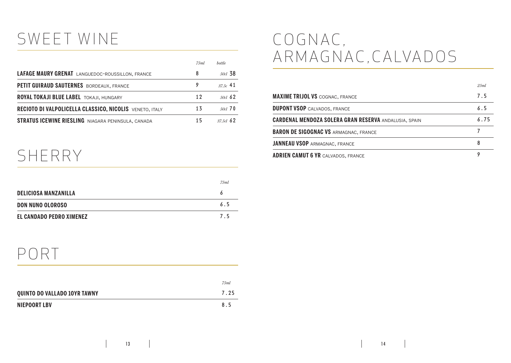### SWEET WINE

|                                                           | 7.5ml | <b>bottle</b> |
|-----------------------------------------------------------|-------|---------------|
| <b>LAFAGE MAURY GRENAT</b> LANGUEDOC-ROUSSILLON, FRANCE   | 8     | 50d, 38       |
| PETIT GUIRAUD SAUTERNES BORDEAUX, FRANCE                  |       | $37.5c$ 41    |
| ROYAL TOKAJI BLUE LABEL TOKAJI, HUNGARY                   | 12    | $50c1$ 62     |
| RECIOTO DI VALPOLICELLA CLASSICO, NICOLIS VENETO, ITALY   | 13    | $50cl$ 70     |
| <b>STRATUS ICEWINE RIESLING</b> NIAGARA PENINSULA, CANADA | 15    | $37.5c1$ 62   |

#### SHERRY

|                                 | 75ml |
|---------------------------------|------|
| <b>DELICIOSA MANZANILLA</b>     |      |
| DON NUNO OLOROSO                | 6.5  |
| <b>EL CANDADO PEDRO XIMENEZ</b> | 75   |

### C O G N A C , A R M A G N AC , C A LVA D O S

|                                                              | 2.5ml |
|--------------------------------------------------------------|-------|
| <b>MAXIME TRIJOL VS COGNAC, FRANCE</b>                       | 7.5   |
| <b>DUPONT VSOP CALVADOS, FRANCE</b>                          | 6.5   |
| <b>CARDENAL MENDOZA SOLERA GRAN RESERVA ANDALUSIA, SPAIN</b> | 6.75  |
| <b>BARON DE SIGOGNAC VS ARMAGNAC, FRANCE</b>                 |       |
| <b>JANNEAU VSOP ARMAGNAC, FRANCE</b>                         | 8     |
| <b>ADRIEN CAMUT 6 YR CALVADOS, FRANCE</b>                    | 9     |

#### PORT

|                                     | 75ml |
|-------------------------------------|------|
| <b>QUINTO DO VALLADO 10YR TAWNY</b> | 7.25 |
| NIEPOORT LBV                        | 85   |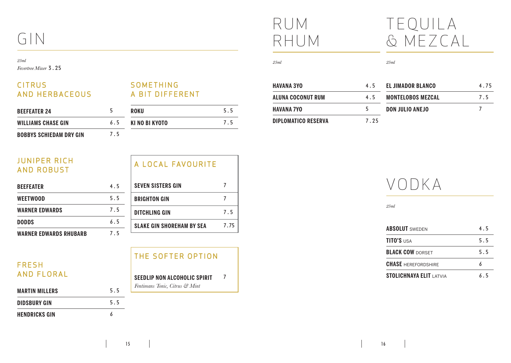### GIN

#### *25ml*

*Fevertree Mixer* 3.25

#### **CITRUS** AND HERBACEOUS

#### **SOMETHING** A BIT DIFFERENT

| <b>BEEFEATER 24</b>            |     | <b>ROKU</b>    | 5.5 |
|--------------------------------|-----|----------------|-----|
| <b>WILLIAMS CHASE GIN</b>      | 6.5 | KI NO BI KYOTO | 75  |
| <b>BOBBYS SCHIEDAM DRY GIN</b> | 7.5 |                |     |

| <b>JUNIPER RICH</b><br><b>AND ROBUST</b> |     | A LOCAL FAVOURITE                |      |
|------------------------------------------|-----|----------------------------------|------|
| <b>BEEFEATER</b>                         | 4.5 | <b>SEVEN SISTERS GIN</b>         |      |
| <b>WEETWOOD</b>                          | 5.5 | <b>BRIGHTON GIN</b>              |      |
| <b>WARNER EDWARDS</b>                    | 7.5 | <b>DITCHLING GIN</b>             | 7.5  |
| <b>DODDS</b>                             | 6.5 | <b>SLAKE GIN SHOREHAM BY SEA</b> | 7.75 |
| <b>WARNER EDWARDS RHUBARB</b>            | 7.5 |                                  |      |

#### **FRESH** AND FLORAL

| <b>MARTIN MILLERS</b> | 5.5 |
|-----------------------|-----|
| <b>DIDSBURY GIN</b>   | 5.5 |
| <b>HENDRICKS GIN</b>  |     |

#### THE SOFTER OPTION

#### **SEEDLIP NON ALCOHOLIC SPIRIT** *Fentimans Tonic, Citrus & Mint* 7

### RUM RHUM

### TEQUILA & MEZCAL

*25ml*

| HAVANA 3YO                 | 4.5  | <b>EL JIMADOR BLANCO</b> | 4.75 |
|----------------------------|------|--------------------------|------|
| ALUNA COCONUT RUM          | 4.5  | <b>MONTELOBOS MEZCAL</b> | 7.5  |
| HAVANA 7YO                 | 5    | <b>DON JULIO ANEJO</b>   |      |
| <b>DIPLOMATICO RESERVA</b> | 7.25 |                          |      |

*25ml*

### VODKA

*25ml*

| <b>ABSOLUT</b> SWEDEN          | 45  |
|--------------------------------|-----|
| <b>TITO'S USA</b>              | 5.5 |
| <b>BLACK COW DORSET</b>        | 5.5 |
| <b>CHASE</b> HEREFORDSHIRE     |     |
| <b>STOLICHNAYA ELIT LATVIA</b> | ራ 5 |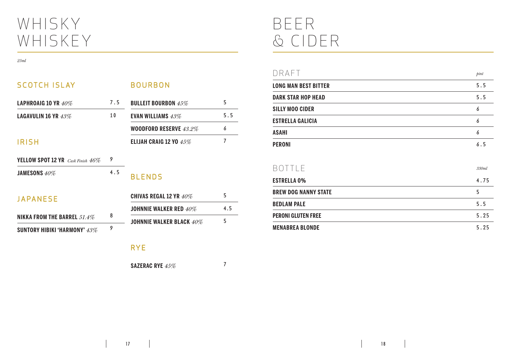### WHISKY WHISKEY

#### *25ml*

| <b>SCOTCH ISLAY</b>                         |     | <b>BOURBON</b>                |     |
|---------------------------------------------|-----|-------------------------------|-----|
| LAPHROAIG 10 YR $40\%$                      | 7.5 | <b>BULLEIT BOURBON 45%</b>    | 5   |
| LAGAVULIN 16 YR $43\%$                      | 10  | <b>EVAN WILLIAMS 43%</b>      | 5.5 |
|                                             |     | <b>WOODFORD RESERVE 43.2%</b> | 6   |
| <b>IRISH</b>                                |     | ELIJAH CRAIG 12 YO $45\%$     | 7   |
| <b>YELLOW SPOT 12 YR</b> Cask Finish $46\%$ | 9   |                               |     |
| JAMESONS $40\%$                             | 4.5 | <b>BLENDS</b>                 |     |
| JAPANESE                                    |     | <b>CHIVAS REGAL 12 YR 40%</b> | 5   |
|                                             | 8   | <b>JOHNNIE WALKER RED 40%</b> | 4.5 |
| NIKKA FROM THE BARREL $51.4\%$              |     | JOHNNIE WALKER BLACK 40%      | 5   |
| SUNTORY HIBIKI 'HARMONY' $43\%$             | 9   |                               |     |

RYE

**SAZERAC RYE** *45%* 7

BEER & CIDER

| DRAFT                       | $\mathit{pint}$ |
|-----------------------------|-----------------|
| <b>LONG MAN BEST BITTER</b> | 5.5             |
| <b>DARK STAR HOP HEAD</b>   | 5.5             |
| <b>SILLY MOO CIDER</b>      | 6               |
| <b>ESTRELLA GALICIA</b>     | 6               |
| <b>ASAHI</b>                | 6               |
| <b>PERONI</b>               | 6.5             |

| BOTTI F                     | 330ml |
|-----------------------------|-------|
| <b>ESTRELLA 0%</b>          | 4.75  |
| <b>BREW DOG NANNY STATE</b> | 5     |
| <b>BEDLAM PALE</b>          | 5.5   |
| <b>PERONI GLUTEN FREE</b>   | 5.25  |
| <b>MENABREA BLONDE</b>      | 5.25  |